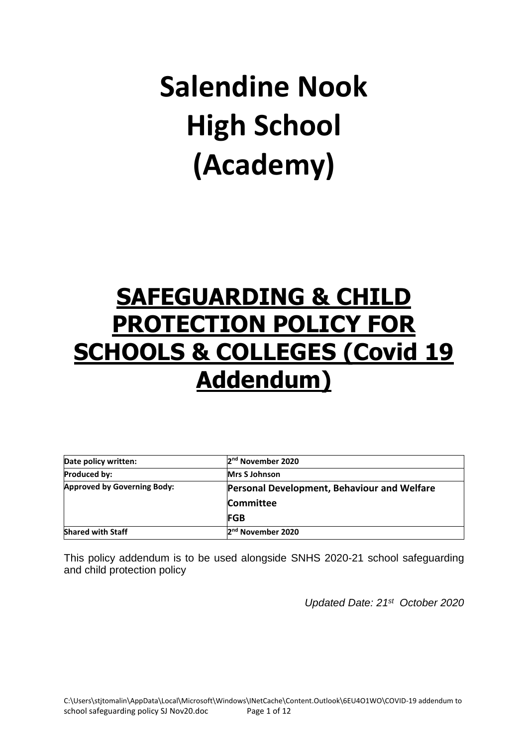# **Salendine Nook High School (Academy)**

# **SAFEGUARDING & CHILD PROTECTION POLICY FOR SCHOOLS & COLLEGES (Covid 19 Addendum)**

| Date policy written:               | 2 <sup>nd</sup> November 2020               |  |
|------------------------------------|---------------------------------------------|--|
| <b>Produced by:</b>                | <b>Mrs S Johnson</b>                        |  |
| <b>Approved by Governing Body:</b> | Personal Development, Behaviour and Welfare |  |
|                                    | <b>Committee</b>                            |  |
|                                    | <b>FGB</b>                                  |  |
| <b>Shared with Staff</b>           | 2 <sup>nd</sup> November 2020               |  |

This policy addendum is to be used alongside SNHS 2020-21 school safeguarding and child protection policy

*Updated Date: 21 st October 2020*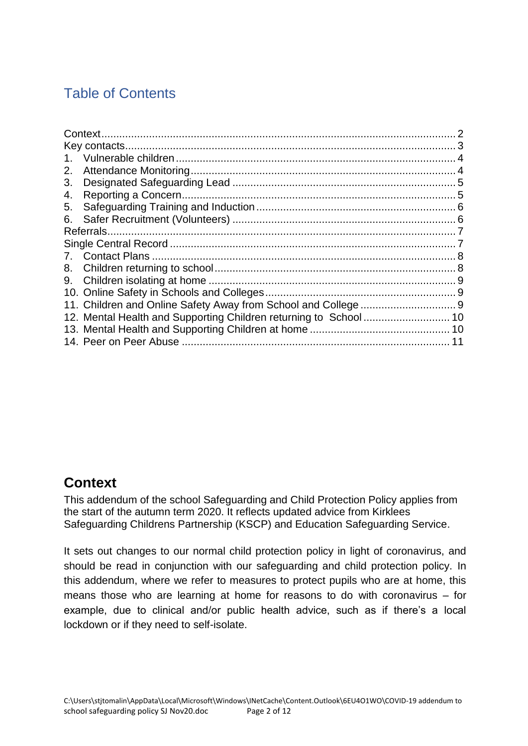# Table of Contents

| 2. |  |
|----|--|
| 3. |  |
| 4. |  |
| 5. |  |
| 6. |  |
|    |  |
|    |  |
|    |  |
|    |  |
|    |  |
|    |  |
|    |  |
|    |  |
|    |  |
|    |  |
|    |  |

#### <span id="page-1-0"></span>**Context**

This addendum of the school Safeguarding and Child Protection Policy applies from the start of the autumn term 2020. It reflects updated advice from Kirklees Safeguarding Childrens Partnership (KSCP) and Education Safeguarding Service.

It sets out changes to our normal child protection policy in light of coronavirus, and should be read in conjunction with our safeguarding and child protection policy. In this addendum, where we refer to measures to protect pupils who are at home, this means those who are learning at home for reasons to do with coronavirus – for example, due to clinical and/or public health advice, such as if there's a local lockdown or if they need to self-isolate.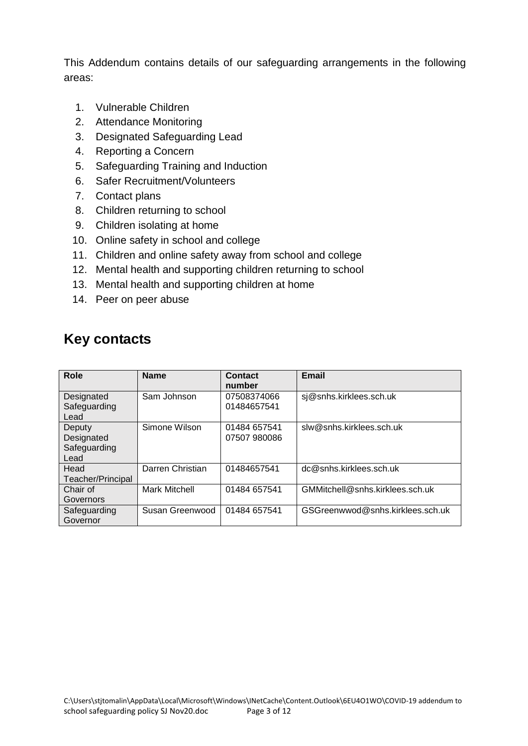This Addendum contains details of our safeguarding arrangements in the following areas:

- 1. Vulnerable Children
- 2. Attendance Monitoring
- 3. Designated Safeguarding Lead
- 4. Reporting a Concern
- 5. Safeguarding Training and Induction
- 6. Safer Recruitment/Volunteers
- 7. Contact plans
- 8. Children returning to school
- 9. Children isolating at home
- 10. Online safety in school and college
- 11. Children and online safety away from school and college
- 12. Mental health and supporting children returning to school
- 13. Mental health and supporting children at home
- 14. Peer on peer abuse

# <span id="page-2-0"></span>**Key contacts**

| Role                                         | <b>Name</b>      | Contact<br>number            | <b>Email</b>                     |
|----------------------------------------------|------------------|------------------------------|----------------------------------|
| Designated<br>Safeguarding<br>Lead           | Sam Johnson      | 07508374066<br>01484657541   | sj@snhs.kirklees.sch.uk          |
| Deputy<br>Designated<br>Safeguarding<br>Lead | Simone Wilson    | 01484 657541<br>07507 980086 | slw@snhs.kirklees.sch.uk         |
| Head<br>Teacher/Principal                    | Darren Christian | 01484657541                  | dc@snhs.kirklees.sch.uk          |
| Chair of<br>Governors                        | Mark Mitchell    | 01484 657541                 | GMMitchell@snhs.kirklees.sch.uk  |
| Safeguarding<br>Governor                     | Susan Greenwood  | 01484 657541                 | GSGreenwwod@snhs.kirklees.sch.uk |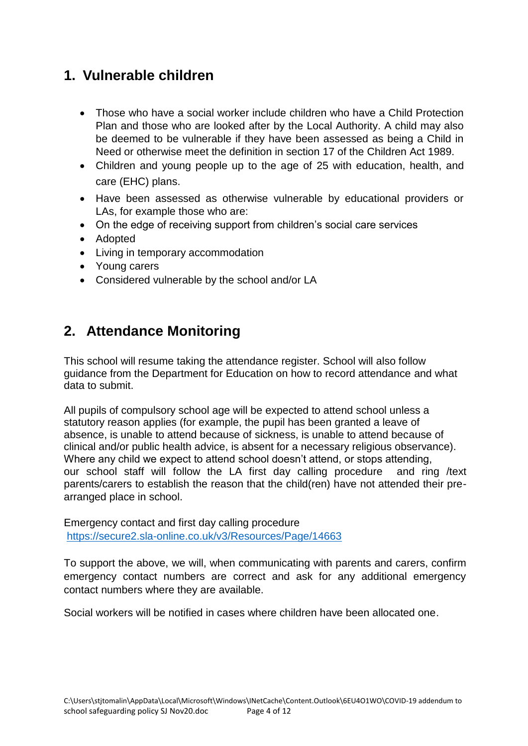# <span id="page-3-0"></span>**1. Vulnerable children**

- Those who have a social worker include children who have a Child Protection Plan and those who are looked after by the Local Authority. A child may also be deemed to be vulnerable if they have been assessed as being a Child in Need or otherwise meet the definition in section 17 of the Children Act 1989.
- Children and young people up to the age of 25 with education, health, and care (EHC) plans.
- Have been assessed as otherwise vulnerable by educational providers or LAs, for example those who are:
- On the edge of receiving support from children's social care services
- Adopted
- Living in temporary accommodation
- Young carers
- Considered vulnerable by the school and/or LA

#### <span id="page-3-1"></span>**2. Attendance Monitoring**

This school will resume taking the attendance register. School will also follow guidance from the Department for Education on how to record attendance and what data to submit.

All pupils of compulsory school age will be expected to attend school unless a statutory reason applies (for example, the pupil has been granted a leave of absence, is unable to attend because of sickness, is unable to attend because of clinical and/or public health advice, is absent for a necessary religious observance). Where any child we expect to attend school doesn't attend, or stops attending, our school staff will follow the LA first day calling procedure and ring /text parents/carers to establish the reason that the child(ren) have not attended their prearranged place in school.

Emergency contact and first day calling procedure <https://secure2.sla-online.co.uk/v3/Resources/Page/14663>

To support the above, we will, when communicating with parents and carers, confirm emergency contact numbers are correct and ask for any additional emergency contact numbers where they are available.

Social workers will be notified in cases where children have been allocated one.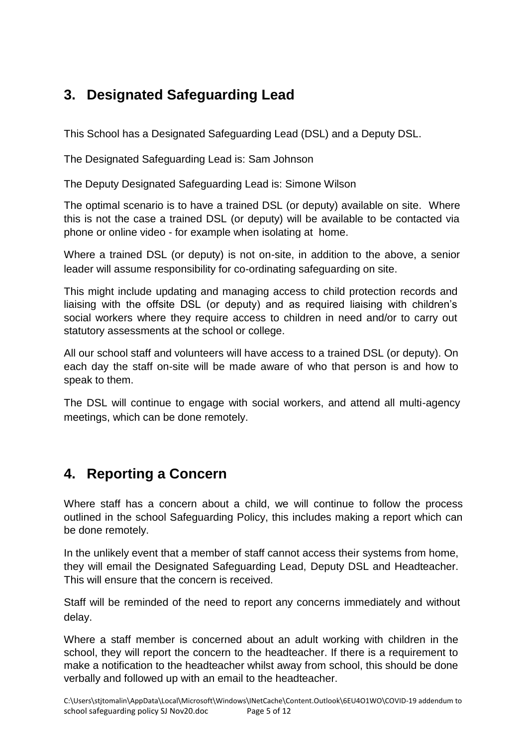# <span id="page-4-0"></span>**3. Designated Safeguarding Lead**

This School has a Designated Safeguarding Lead (DSL) and a Deputy DSL.

The Designated Safeguarding Lead is: Sam Johnson

The Deputy Designated Safeguarding Lead is: Simone Wilson

The optimal scenario is to have a trained DSL (or deputy) available on site. Where this is not the case a trained DSL (or deputy) will be available to be contacted via phone or online video - for example when isolating at home.

Where a trained DSL (or deputy) is not on-site, in addition to the above, a senior leader will assume responsibility for co-ordinating safeguarding on site.

This might include updating and managing access to child protection records and liaising with the offsite DSL (or deputy) and as required liaising with children's social workers where they require access to children in need and/or to carry out statutory assessments at the school or college.

All our school staff and volunteers will have access to a trained DSL (or deputy). On each day the staff on-site will be made aware of who that person is and how to speak to them.

The DSL will continue to engage with social workers, and attend all multi-agency meetings, which can be done remotely.

# <span id="page-4-1"></span>**4. Reporting a Concern**

Where staff has a concern about a child, we will continue to follow the process outlined in the school Safeguarding Policy, this includes making a report which can be done remotely.

In the unlikely event that a member of staff cannot access their systems from home, they will email the Designated Safeguarding Lead, Deputy DSL and Headteacher. This will ensure that the concern is received.

Staff will be reminded of the need to report any concerns immediately and without delay.

Where a staff member is concerned about an adult working with children in the school, they will report the concern to the headteacher. If there is a requirement to make a notification to the headteacher whilst away from school, this should be done verbally and followed up with an email to the headteacher.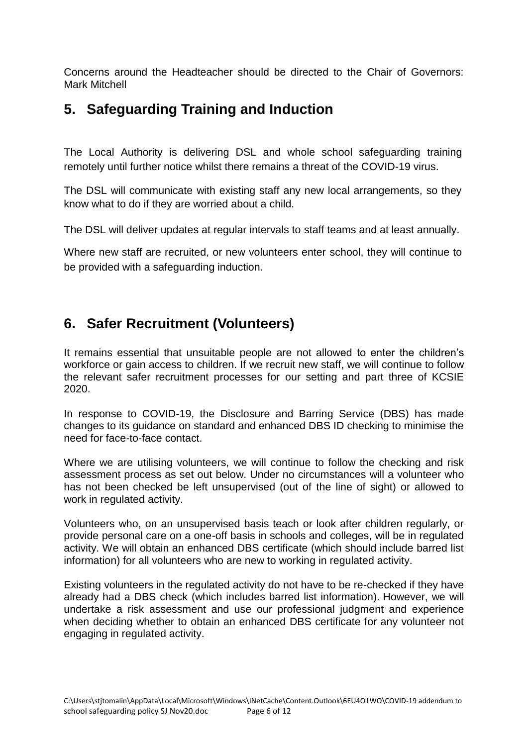Concerns around the Headteacher should be directed to the Chair of Governors: Mark Mitchell

#### <span id="page-5-0"></span>**5. Safeguarding Training and Induction**

The Local Authority is delivering DSL and whole school safeguarding training remotely until further notice whilst there remains a threat of the COVID-19 virus.

The DSL will communicate with existing staff any new local arrangements, so they know what to do if they are worried about a child.

The DSL will deliver updates at regular intervals to staff teams and at least annually.

Where new staff are recruited, or new volunteers enter school, they will continue to be provided with a safeguarding induction.

# <span id="page-5-1"></span>**6. Safer Recruitment (Volunteers)**

It remains essential that unsuitable people are not allowed to enter the children's workforce or gain access to children. If we recruit new staff, we will continue to follow the relevant safer recruitment processes for our setting and part three of KCSIE 2020.

In response to COVID-19, the Disclosure and Barring Service (DBS) has made changes to its guidance on standard and enhanced DBS ID checking to minimise the need for face-to-face contact.

Where we are utilising volunteers, we will continue to follow the checking and risk assessment process as set out below. Under no circumstances will a volunteer who has not been checked be left unsupervised (out of the line of sight) or allowed to work in regulated activity.

Volunteers who, on an unsupervised basis teach or look after children regularly, or provide personal care on a one-off basis in schools and colleges, will be in regulated activity. We will obtain an enhanced DBS certificate (which should include barred list information) for all volunteers who are new to working in regulated activity.

Existing volunteers in the regulated activity do not have to be re-checked if they have already had a DBS check (which includes barred list information). However, we will undertake a risk assessment and use our professional judgment and experience when deciding whether to obtain an enhanced DBS certificate for any volunteer not engaging in regulated activity.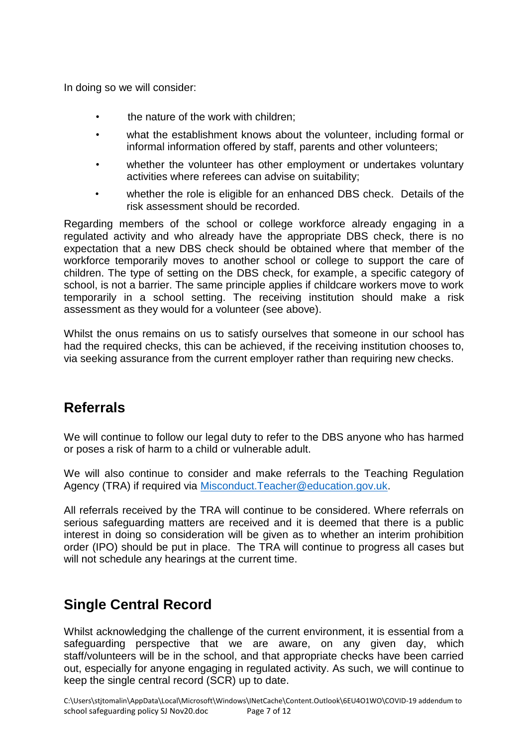In doing so we will consider:

- the nature of the work with children;
- what the establishment knows about the volunteer, including formal or informal information offered by staff, parents and other volunteers;
- whether the volunteer has other employment or undertakes voluntary activities where referees can advise on suitability;
- whether the role is eligible for an enhanced DBS check. Details of the risk assessment should be recorded.

Regarding members of the school or college workforce already engaging in a regulated activity and who already have the appropriate DBS check, there is no expectation that a new DBS check should be obtained where that member of the workforce temporarily moves to another school or college to support the care of children. The type of setting on the DBS check, for example, a specific category of school, is not a barrier. The same principle applies if childcare workers move to work temporarily in a school setting. The receiving institution should make a risk assessment as they would for a volunteer (see above).

Whilst the onus remains on us to satisfy ourselves that someone in our school has had the required checks, this can be achieved, if the receiving institution chooses to, via seeking assurance from the current employer rather than requiring new checks.

#### <span id="page-6-0"></span>**Referrals**

We will continue to follow our legal duty to refer to the DBS anyone who has harmed or poses a risk of harm to a child or vulnerable adult.

We will also continue to consider and make referrals to the Teaching Regulation Agency (TRA) if required via [Misconduct.Teacher@education.gov.uk.](mailto:Misconduct.Teacher@education.gov.uk)

All referrals received by the TRA will continue to be considered. Where referrals on serious safeguarding matters are received and it is deemed that there is a public interest in doing so consideration will be given as to whether an interim prohibition order (IPO) should be put in place. The TRA will continue to progress all cases but will not schedule any hearings at the current time.

#### <span id="page-6-1"></span>**Single Central Record**

Whilst acknowledging the challenge of the current environment, it is essential from a safeguarding perspective that we are aware, on any given day, which staff/volunteers will be in the school, and that appropriate checks have been carried out, especially for anyone engaging in regulated activity. As such, we will continue to keep the single central record (SCR) up to date.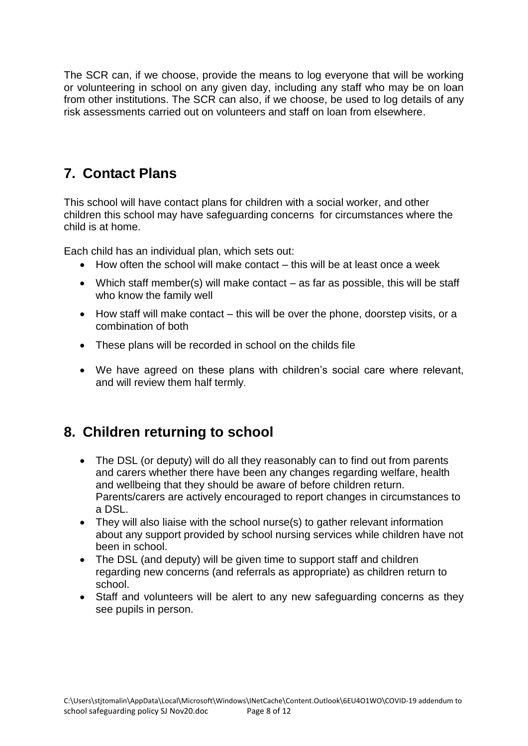The SCR can, if we choose, provide the means to log everyone that will be working or volunteering in school on any given day, including any staff who may be on loan from other institutions. The SCR can also, if we choose, be used to log details of any risk assessments carried out on volunteers and staff on loan from elsewhere.

#### <span id="page-7-0"></span>**7. Contact Plans**

This school will have contact plans for children with a social worker, and other children this school may have safeguarding concerns for circumstances where the child is at home.

Each child has an individual plan, which sets out:

- How often the school will make contact this will be at least once a week
- Which staff member(s) will make contact as far as possible, this will be staff who know the family well
- How staff will make contact this will be over the phone, doorstep visits, or a combination of both
- These plans will be recorded in school on the childs file
- We have agreed on these plans with children's social care where relevant, and will review them half termly.

# <span id="page-7-1"></span>**8. Children returning to school**

- The DSL (or deputy) will do all they reasonably can to find out from parents and carers whether there have been any changes regarding welfare, health and wellbeing that they should be aware of before children return. Parents/carers are actively encouraged to report changes in circumstances to a DSL.
- They will also liaise with the school nurse(s) to gather relevant information about any support provided by school nursing services while children have not been in school.
- The DSL (and deputy) will be given time to support staff and children regarding new concerns (and referrals as appropriate) as children return to school.
- Staff and volunteers will be alert to any new safeguarding concerns as they see pupils in person.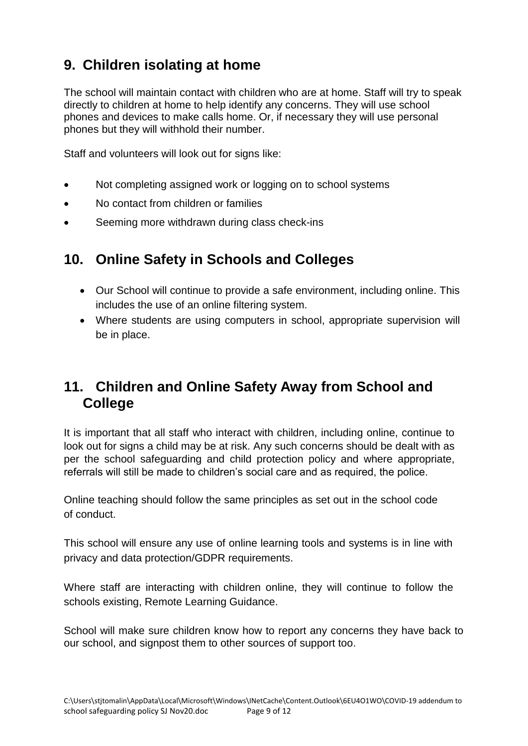# <span id="page-8-0"></span>**9. Children isolating at home**

The school will maintain contact with children who are at home. Staff will try to speak directly to children at home to help identify any concerns. They will use school phones and devices to make calls home. Or, if necessary they will use personal phones but they will withhold their number.

Staff and volunteers will look out for signs like:

- Not completing assigned work or logging on to school systems
- No contact from children or families
- Seeming more withdrawn during class check-ins

#### <span id="page-8-1"></span>**10. Online Safety in Schools and Colleges**

- Our School will continue to provide a safe environment, including online. This includes the use of an online filtering system.
- Where students are using computers in school, appropriate supervision will be in place.

#### <span id="page-8-2"></span>**11. Children and Online Safety Away from School and College**

It is important that all staff who interact with children, including online, continue to look out for signs a child may be at risk. Any such concerns should be dealt with as per the school safeguarding and child protection policy and where appropriate, referrals will still be made to children's social care and as required, the police.

Online teaching should follow the same principles as set out in the school code of conduct.

This school will ensure any use of online learning tools and systems is in line with privacy and data protection/GDPR requirements.

Where staff are interacting with children online, they will continue to follow the schools existing, Remote Learning Guidance.

School will make sure children know how to report any concerns they have back to our school, and signpost them to other sources of support too.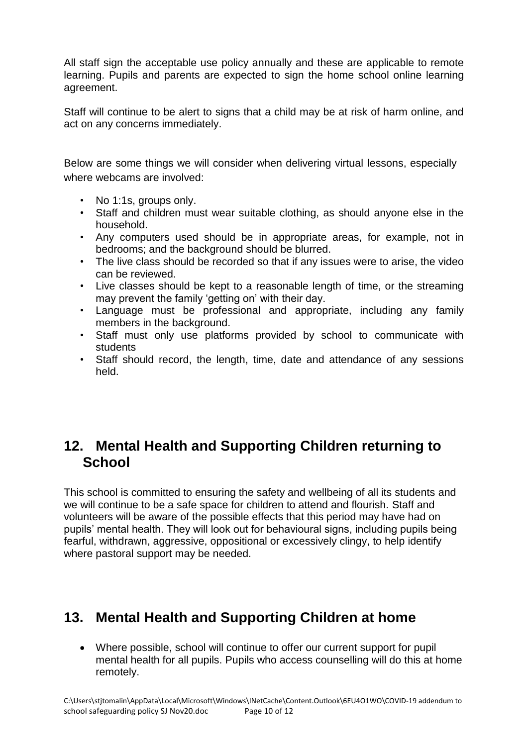All staff sign the acceptable use policy annually and these are applicable to remote learning. Pupils and parents are expected to sign the home school online learning agreement.

Staff will continue to be alert to signs that a child may be at risk of harm online, and act on any concerns immediately.

Below are some things we will consider when delivering virtual lessons, especially where webcams are involved:

- No 1:1s, groups only.
- Staff and children must wear suitable clothing, as should anyone else in the household.
- Any computers used should be in appropriate areas, for example, not in bedrooms; and the background should be blurred.
- The live class should be recorded so that if any issues were to arise, the video can be reviewed.
- Live classes should be kept to a reasonable length of time, or the streaming may prevent the family 'getting on' with their day.
- Language must be professional and appropriate, including any family members in the background.
- Staff must only use platforms provided by school to communicate with students
- Staff should record, the length, time, date and attendance of any sessions held.

#### <span id="page-9-0"></span>**12. Mental Health and Supporting Children returning to School**

This school is committed to ensuring the safety and wellbeing of all its students and we will continue to be a safe space for children to attend and flourish. Staff and volunteers will be aware of the possible effects that this period may have had on pupils' mental health. They will look out for behavioural signs, including pupils being fearful, withdrawn, aggressive, oppositional or excessively clingy, to help identify where pastoral support may be needed.

# <span id="page-9-1"></span>**13. Mental Health and Supporting Children at home**

• Where possible, school will continue to offer our current support for pupil mental health for all pupils. Pupils who access counselling will do this at home remotely.